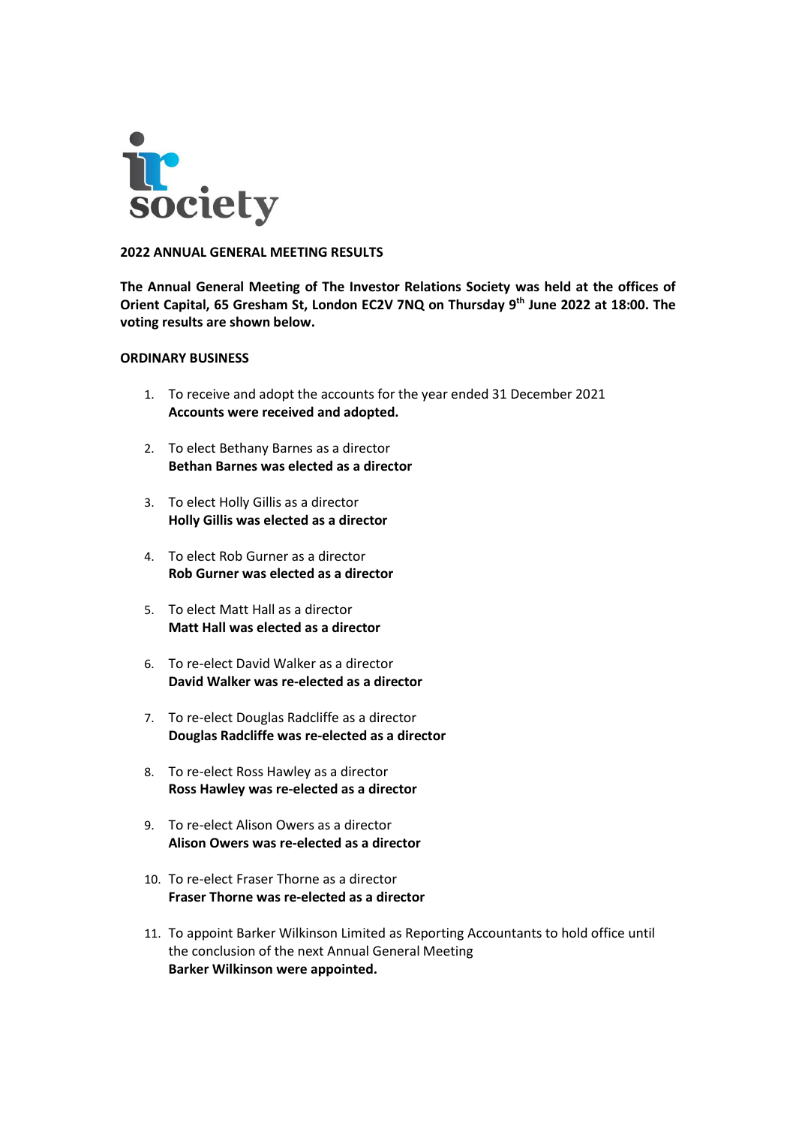

## **2022 ANNUAL GENERAL MEETING RESULTS**

**The Annual General Meeting of The Investor Relations Society was held at the offices of Orient Capital, 65 Gresham St, London EC2V 7NQ on Thursday 9 th June 2022 at 18:00. The voting results are shown below.** 

## **ORDINARY BUSINESS**

- 1. To receive and adopt the accounts for the year ended 31 December 2021 **Accounts were received and adopted.**
- 2. To elect Bethany Barnes as a director **Bethan Barnes was elected as a director**
- 3. To elect Holly Gillis as a director **Holly Gillis was elected as a director**
- 4. To elect Rob Gurner as a director **Rob Gurner was elected as a director**
- 5. To elect Matt Hall as a director **Matt Hall was elected as a director**
- 6. To re-elect David Walker as a director **David Walker was re-elected as a director**
- 7. To re-elect Douglas Radcliffe as a director **Douglas Radcliffe was re-elected as a director**
- 8. To re-elect Ross Hawley as a director **Ross Hawley was re-elected as a director**
- 9. To re-elect Alison Owers as a director **Alison Owers was re-elected as a director**
- 10. To re-elect Fraser Thorne as a director **Fraser Thorne was re-elected as a director**
- 11. To appoint Barker Wilkinson Limited as Reporting Accountants to hold office until the conclusion of the next Annual General Meeting **Barker Wilkinson were appointed.**